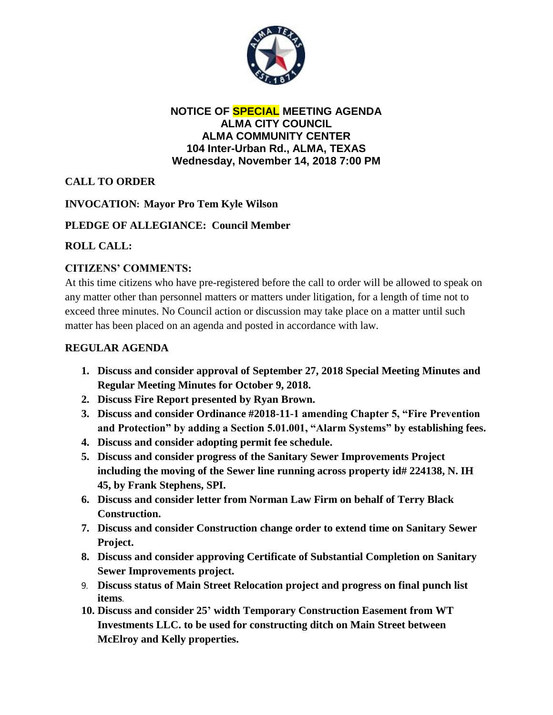

#### **NOTICE OF SPECIAL MEETING AGENDA ALMA CITY COUNCIL ALMA COMMUNITY CENTER 104 Inter-Urban Rd., ALMA, TEXAS Wednesday, November 14, 2018 7:00 PM**

# **CALL TO ORDER**

### **INVOCATION: Mayor Pro Tem Kyle Wilson**

### **PLEDGE OF ALLEGIANCE: Council Member**

### **ROLL CALL:**

## **CITIZENS' COMMENTS:**

At this time citizens who have pre-registered before the call to order will be allowed to speak on any matter other than personnel matters or matters under litigation, for a length of time not to exceed three minutes. No Council action or discussion may take place on a matter until such matter has been placed on an agenda and posted in accordance with law.

### **REGULAR AGENDA**

- **1. Discuss and consider approval of September 27, 2018 Special Meeting Minutes and Regular Meeting Minutes for October 9, 2018.**
- **2. Discuss Fire Report presented by Ryan Brown.**
- **3. Discuss and consider Ordinance #2018-11-1 amending Chapter 5, "Fire Prevention and Protection" by adding a Section 5.01.001, "Alarm Systems" by establishing fees.**
- **4. Discuss and consider adopting permit fee schedule.**
- **5. Discuss and consider progress of the Sanitary Sewer Improvements Project including the moving of the Sewer line running across property id# 224138, N. IH 45, by Frank Stephens, SPI.**
- **6. Discuss and consider letter from Norman Law Firm on behalf of Terry Black Construction.**
- **7. Discuss and consider Construction change order to extend time on Sanitary Sewer Project.**
- **8. Discuss and consider approving Certificate of Substantial Completion on Sanitary Sewer Improvements project.**
- 9. **Discuss status of Main Street Relocation project and progress on final punch list items**.
- **10. Discuss and consider 25' width Temporary Construction Easement from WT Investments LLC. to be used for constructing ditch on Main Street between McElroy and Kelly properties.**